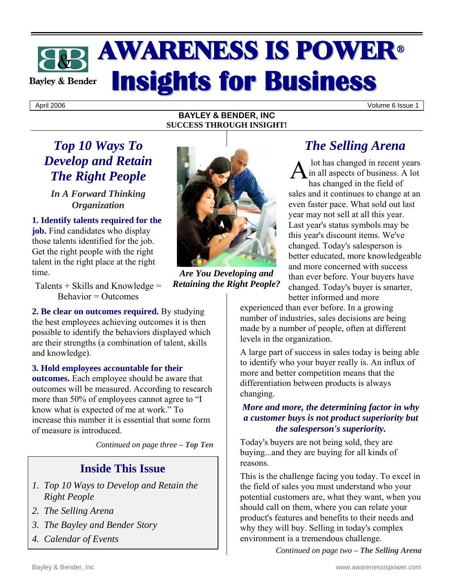# **AWARENESS IS POWER® Insights for Business Bayley & Bender**

**BAYLEY & BENDER, INC SUCCESS THROUGH INSIGHT!** 

April 2006 Volume 6 Issue 1

## *Top 10 Ways To Develop and Retain The Right People*

*In A Forward Thinking Organization* 

**1. Identify talents required for the job.** Find candidates who display those talents identified for the job. Get the right people with the right talent in the right place at the right time.

Talents  $+$  Skills and Knowledge  $=$ Behavior = Outcomes

**2. Be clear on outcomes required.** By studying the best employees achieving outcomes it is then possible to identify the behaviors displayed which are their strengths (a combination of talent, skills and knowledge).

#### **3. Hold employees accountable for their**

**outcomes.** Each employee should be aware that outcomes will be measured. According to research more than 50% of employees cannot agree to "I know what is expected of me at work." To increase this number it is essential that some form of measure is introduced.

*Continued on page three – Top Ten*

### **Inside This Issue**

- *1. Top 10 Ways to Develop and Retain the Right People*
- *2. The Selling Arena*
- *3. The Bayley and Bender Story*
- *4. Calendar of Events*



*Are You Developing and Retaining the Right People?*

### *The Selling Arena*

 lot has changed in recent years in all aspects of business. A lot has changed in the field of sales and it continues to change at an even faster pace. What sold out last year may not sell at all this year. Last year's status symbols may be this year's discount items. We've changed. Today's salesperson is better educated, more knowledgeable and more concerned with success than ever before. Your buyers have changed. Today's buyer is smarter, better informed and more A

experienced than ever before. In a growing number of industries, sales decisions are being made by a number of people, often at different levels in the organization.

A large part of success in sales today is being able to identify who your buyer really is. An influx of more and better competition means that the differentiation between products is always changing.

#### *More and more, the determining factor in why a customer buys is not product superiority but the salesperson's superiority.*

Today's buyers are not being sold, they are buying...and they are buying for all kinds of reasons.

This is the challenge facing you today. To excel in the field of sales you must understand who your potential customers are, what they want, when you should call on them, where you can relate your product's features and benefits to their needs and why they will buy. Selling in today's complex environment is a tremendous challenge.

*Continued on page two – The Selling Arena*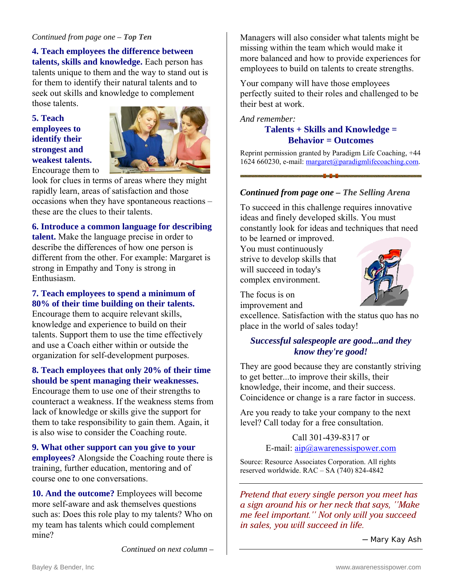#### *Continued from page one – Top Ten*

**4. Teach employees the difference between talents, skills and knowledge.** Each person has talents unique to them and the way to stand out is for them to identify their natural talents and to seek out skills and knowledge to complement those talents.

#### **5. Teach employees to identify their strongest and weakest talents.**

Encourage them to



look for clues in terms of areas where they might rapidly learn, areas of satisfaction and those occasions when they have spontaneous reactions – these are the clues to their talents.

#### **6. Introduce a common language for describing**

**talent.** Make the language precise in order to describe the differences of how one person is different from the other. For example: Margaret is strong in Empathy and Tony is strong in Enthusiasm.

#### **7. Teach employees to spend a minimum of 80% of their time building on their talents.**

Encourage them to acquire relevant skills, knowledge and experience to build on their talents. Support them to use the time effectively and use a Coach either within or outside the organization for self-development purposes.

#### **8. Teach employees that only 20% of their time should be spent managing their weaknesses.**

Encourage them to use one of their strengths to counteract a weakness. If the weakness stems from lack of knowledge or skills give the support for them to take responsibility to gain them. Again, it is also wise to consider the Coaching route.

**9. What other support can you give to your employees?** Alongside the Coaching route there is training, further education, mentoring and of course one to one conversations.

**10. And the outcome?** Employees will become more self-aware and ask themselves questions such as: Does this role play to my talents? Who on my team has talents which could complement mine?

*Continued on next column –* 

Managers will also consider what talents might be missing within the team which would make it more balanced and how to provide experiences for employees to build on talents to create strengths.

Your company will have those employees perfectly suited to their roles and challenged to be their best at work.

*And remember:* 

#### **Talents + Skills and Knowledge = Behavior = Outcomes**

Reprint permission granted by Paradigm Life Coaching, +44 1624 660230, e-mail: margaret@paradigmlifecoaching.com.

#### *Continued from page one – The Selling Arena*

To succeed in this challenge requires innovative ideas and finely developed skills. You must constantly look for ideas and techniques that need to be learned or improved.

You must continuously strive to develop skills that will succeed in today's complex environment.



The focus is on improvement and

excellence. Satisfaction with the status quo has no place in the world of sales today!

#### *Successful salespeople are good...and they know they're good!*

They are good because they are constantly striving to get better...to improve their skills, their knowledge, their income, and their success. Coincidence or change is a rare factor in success.

Are you ready to take your company to the next level? Call today for a free consultation.

> Call 301-439-8317 or E-mail: aip@awarenessispower.com

Source: Resource Associates Corporation. All rights reserved worldwide. RAC – SA (740) 824-4842

Pretend that every single person you meet has a sign around his or her neck that says, "Make me feel important." Not only will you succeed in sales, you will succeed in life.

─ Mary Kay Ash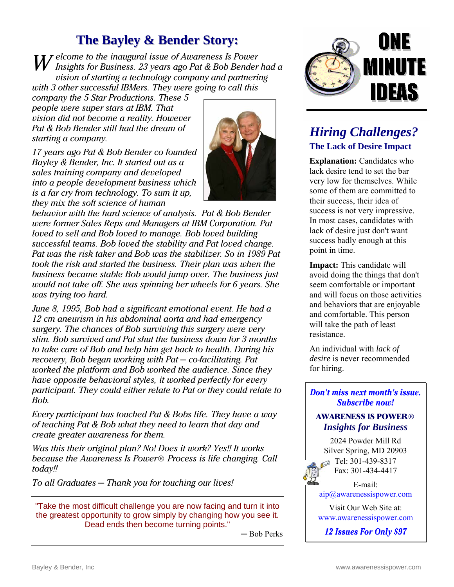### **The Bayley & Bender Story:**

 $\boldsymbol{W}$  elcome to the inaugural issue of Awareness Is Power<br>Insights for Business. 23 years ago Pat & Bob Bender Insights for Business. 23 years ago Pat & Bob Bender had a vision of starting a technology company and partnering with 3 other successful IBMers. They were going to call this

company the  $5$  Star Productions. These  $5$ people were super stars at IBM. That vision did not become a reality. However Pat & Bob Bender still had the dream of starting a company.

17 years ago Pat & Bob Bender co founded Bayley & Bender, Inc. It started out as a sales training company and developed into a people development business which  $i$ s a far cry from technology. To sum it up, they mix the soft science of human



behavior with the hard science of analysis. Pat & Bob Bender were former Sales Reps and Managers at IBM Corporation. Pat loved to sell and Bob loved to manage. Bob loved building successful teams. Bob loved the stability and Pat loved change. Pat was the risk taker and Bob was the stabilizer. So in 1989 Pat took the risk and started the business. Their plan was when the business became stable Bob would jump over. The business just would not take off. She was spinning her wheels for 6 years. She was trying too hard.

June 8, 1995, Bob had a significant emotional event. He had a 12 cm aneurism in his abdominal aorta and had emergency surgery. The chances of Bob surviving this surgery were very slim. Bob survived and Pat shut the business down for 3 months to take care of Bob and help him get back to health. During his recovery, Bob began working with Pat - co-facilitating. Pat worked the platform and Bob worked the audience. Since they have opposite behavioral styles, it worked perfectly for every participant. They could either relate to Pat or they could relate to Bob.

Every participant has touched Pat  $\&$  Bobs life. They have a way of teaching Pat & Bob what they need to learn that day and create greater awareness for them.

Was this their original plan? No! Does it work? Yes!! It works because the Awareness Is Power® Process is life changing. Call today!!

 $\overline{I}$  o all Graduates  $-$  Thank you for touching our lives!

"Take the most difficult challenge you are now facing and turn it into the greatest opportunity to grow simply by changing how you see it. Dead ends then become turning points."

─ Bob Perks



### *Hiring Challenges?*  **The Lack of Desire Impact**

**Explanation:** Candidates who lack desire tend to set the bar very low for themselves. While some of them are committed to their success, their idea of success is not very impressive. In most cases, candidates with lack of desire just don't want success badly enough at this point in time.

**Impact:** This candidate will avoid doing the things that don't seem comfortable or important and will focus on those activities and behaviors that are enjoyable and comfortable. This person will take the path of least resistance.

An individual with *lack of desire* is never recommended for hiring.

Don't miss next month's issue. **Subscribe now!** 

#### **AWARENESS IS POWER®** *Insights for Business*

2024 Powder Mill Rd Silver Spring, MD 20903  $\Box$  Tel: 301-439-8317

Fax: 301-434-4417

E-mail:

aip@awarenessispower.com

Visit Our Web Site at: www.awarenessispower.com

12 Issues For Only \$97